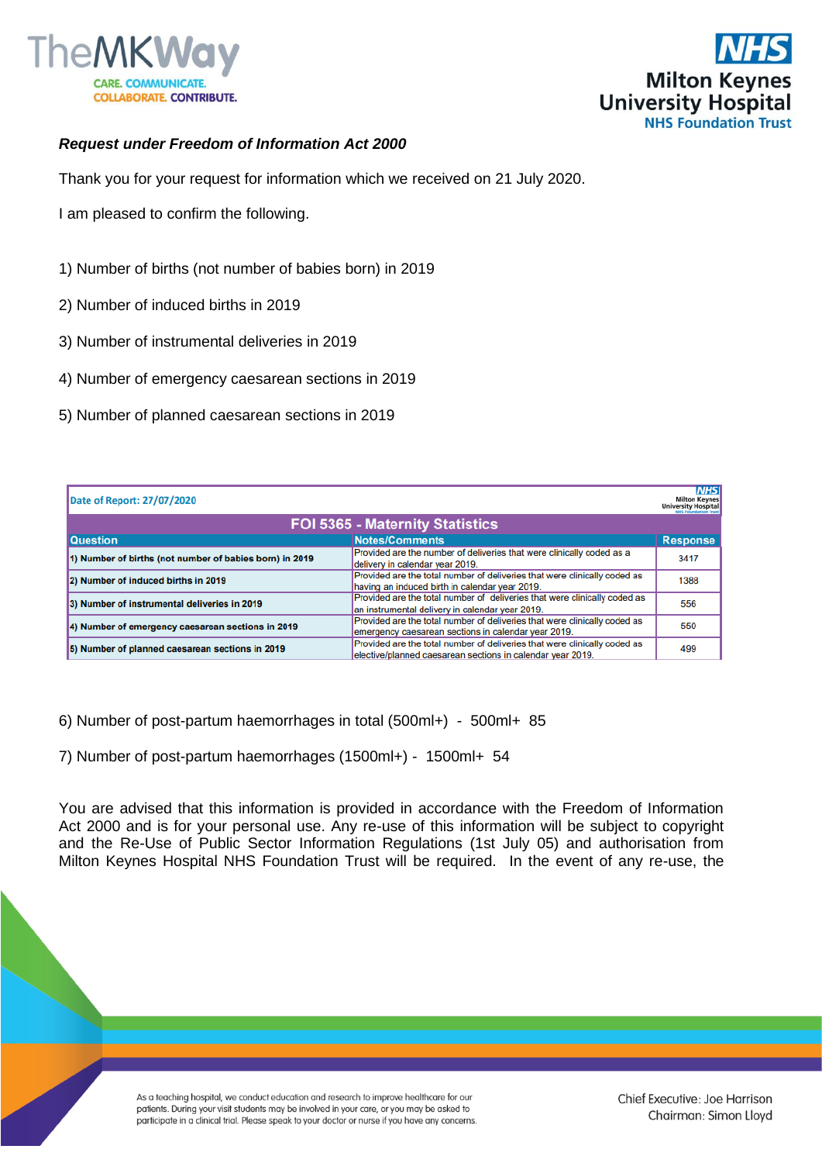



## *Request under Freedom of Information Act 2000*

Thank you for your request for information which we received on 21 July 2020.

I am pleased to confirm the following.

- 1) Number of births (not number of babies born) in 2019
- 2) Number of induced births in 2019
- 3) Number of instrumental deliveries in 2019
- 4) Number of emergency caesarean sections in 2019
- 5) Number of planned caesarean sections in 2019

| Date of Report: 27/07/2020                              |                                                                                                                                         | <b>NHS</b><br><b>Milton Keynes</b><br><b>University Hospital</b><br><b>UNIS Encountation Trust</b> |
|---------------------------------------------------------|-----------------------------------------------------------------------------------------------------------------------------------------|----------------------------------------------------------------------------------------------------|
| FOI 5365 - Maternity Statistics                         |                                                                                                                                         |                                                                                                    |
| <b>Question</b>                                         | <b>Notes/Comments</b>                                                                                                                   | <b>Response</b>                                                                                    |
| 1) Number of births (not number of babies born) in 2019 | Provided are the number of deliveries that were clinically coded as a<br>delivery in calendar year 2019.                                | 3417                                                                                               |
| 2) Number of induced births in 2019                     | Provided are the total number of deliveries that were clinically coded as<br>having an induced birth in calendar year 2019.             | 1388                                                                                               |
| 3) Number of instrumental deliveries in 2019            | Provided are the total number of deliveries that were clinically coded as<br>an instrumental delivery in calendar year 2019.            | 556                                                                                                |
| 4) Number of emergency caesarean sections in 2019       | Provided are the total number of deliveries that were clinically coded as<br>emergency caesarean sections in calendar year 2019.        | 550                                                                                                |
| 5) Number of planned caesarean sections in 2019         | Provided are the total number of deliveries that were clinically coded as<br>elective/planned caesarean sections in calendar vear 2019. | 499                                                                                                |

6) Number of post-partum haemorrhages in total (500ml+) - 500ml+ 85

7) Number of post-partum haemorrhages (1500ml+) - 1500ml+ 54

You are advised that this information is provided in accordance with the Freedom of Information Act 2000 and is for your personal use. Any re-use of this information will be subject to copyright and the Re-Use of Public Sector Information Regulations (1st July 05) and authorisation from Milton Keynes Hospital NHS Foundation Trust will be required. In the event of any re-use, the

> As a teaching hospital, we conduct education and research to improve healthcare for our patients. During your visit students may be involved in your care, or you may be asked to participate in a clinical trial. Please speak to your doctor or nurse if you have any concerns.